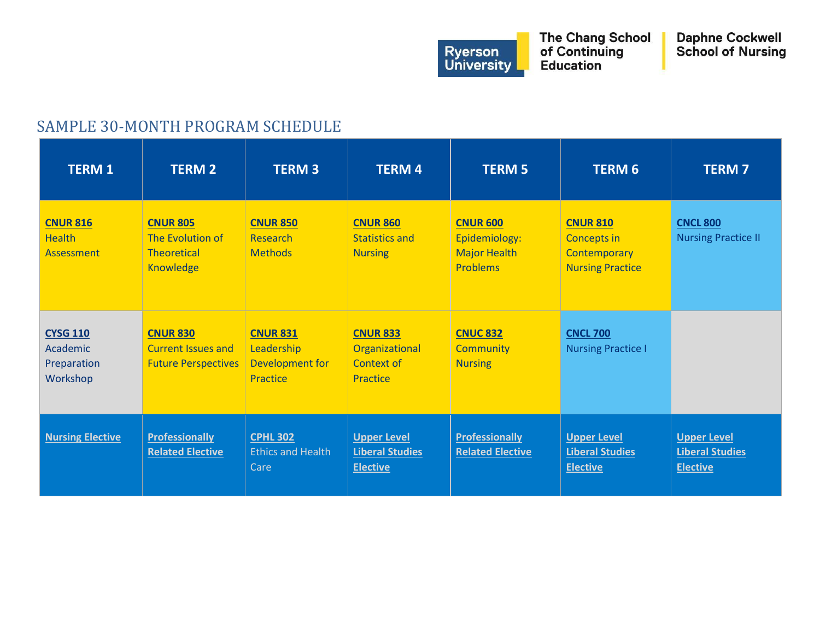

## SAMPLE 30-MONTH PROGRAM SCHEDULE

| <b>TERM 1</b>                                                 | <b>TERM 2</b>                                                              | <b>TERM 3</b>                                                              | <b>TERM4</b>                                                    | <b>TERM 5</b>                                                       | <b>TERM 6</b>                                                                           | <b>TERM7</b>                                                    |
|---------------------------------------------------------------|----------------------------------------------------------------------------|----------------------------------------------------------------------------|-----------------------------------------------------------------|---------------------------------------------------------------------|-----------------------------------------------------------------------------------------|-----------------------------------------------------------------|
| <b>CNUR 816</b><br><b>Health</b><br>Assessment                | <b>CNUR 805</b><br>The Evolution of<br><b>Theoretical</b><br>Knowledge     | <b>CNUR 850</b><br><b>Research</b><br><b>Methods</b>                       | <b>CNUR 860</b><br><b>Statistics and</b><br><b>Nursing</b>      | <b>CNUR 600</b><br>Epidemiology:<br><b>Major Health</b><br>Problems | <b>CNUR 810</b><br><b>Concepts in</b><br><b>Contemporary</b><br><b>Nursing Practice</b> | <b>CNCL 800</b><br><b>Nursing Practice II</b>                   |
| <b>CYSG 110</b><br><b>Academic</b><br>Preparation<br>Workshop | <b>CNUR 830</b><br><b>Current Issues and</b><br><b>Future Perspectives</b> | <b>CNUR 831</b><br>Leadership<br><b>Development for</b><br><b>Practice</b> | <b>CNUR 833</b><br>Organizational<br>Context of<br>Practice     | <b>CNUC 832</b><br><b>Community</b><br><b>Nursing</b>               | <b>CNCL 700</b><br><b>Nursing Practice I</b>                                            |                                                                 |
| <b>Nursing Elective</b>                                       | <b>Professionally</b><br><b>Related Elective</b>                           | <b>CPHL 302</b><br><b>Ethics and Health</b><br>Care                        | <b>Upper Level</b><br><b>Liberal Studies</b><br><b>Elective</b> | <b>Professionally</b><br><b>Related Elective</b>                    | <b>Upper Level</b><br><b>Liberal Studies</b><br><b>Elective</b>                         | <b>Upper Level</b><br><b>Liberal Studies</b><br><b>Elective</b> |